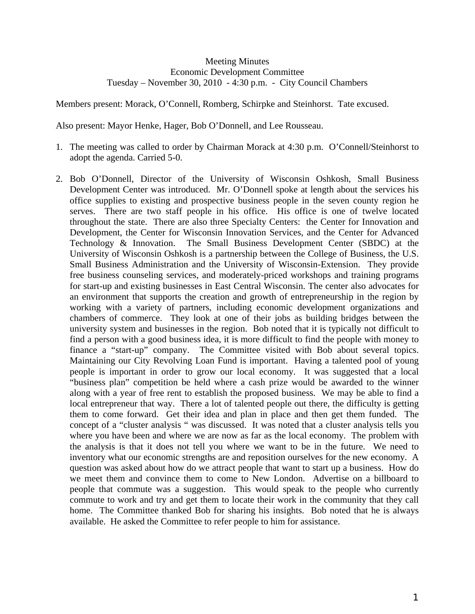## Meeting Minutes Economic Development Committee Tuesday – November 30, 2010 - 4:30 p.m. - City Council Chambers

Members present: Morack, O'Connell, Romberg, Schirpke and Steinhorst. Tate excused.

Also present: Mayor Henke, Hager, Bob O'Donnell, and Lee Rousseau.

- 1. The meeting was called to order by Chairman Morack at 4:30 p.m. O'Connell/Steinhorst to adopt the agenda. Carried 5-0.
- 2. Bob O'Donnell, Director of the University of Wisconsin Oshkosh, Small Business Development Center was introduced. Mr. O'Donnell spoke at length about the services his office supplies to existing and prospective business people in the seven county region he serves. There are two staff people in his office. His office is one of twelve located throughout the state. There are also three Specialty Centers: the Center for Innovation and Development, the Center for Wisconsin Innovation Services, and the Center for Advanced Technology & Innovation. The Small Business Development Center (SBDC) at the University of Wisconsin Oshkosh is a partnership between the College of Business, the U.S. Small Business Administration and the University of Wisconsin-Extension. They provide free business counseling services, and moderately-priced workshops and training programs for start-up and existing businesses in East Central Wisconsin. The center also advocates for an environment that supports the creation and growth of entrepreneurship in the region by working with a variety of partners, including economic development organizations and chambers of commerce. They look at one of their jobs as building bridges between the university system and businesses in the region. Bob noted that it is typically not difficult to find a person with a good business idea, it is more difficult to find the people with money to finance a "start-up" company. The Committee visited with Bob about several topics. Maintaining our City Revolving Loan Fund is important. Having a talented pool of young people is important in order to grow our local economy. It was suggested that a local "business plan" competition be held where a cash prize would be awarded to the winner along with a year of free rent to establish the proposed business. We may be able to find a local entrepreneur that way. There a lot of talented people out there, the difficulty is getting them to come forward. Get their idea and plan in place and then get them funded. The concept of a "cluster analysis " was discussed. It was noted that a cluster analysis tells you where you have been and where we are now as far as the local economy. The problem with the analysis is that it does not tell you where we want to be in the future. We need to inventory what our economic strengths are and reposition ourselves for the new economy. A question was asked about how do we attract people that want to start up a business. How do we meet them and convince them to come to New London. Advertise on a billboard to people that commute was a suggestion. This would speak to the people who currently commute to work and try and get them to locate their work in the community that they call home. The Committee thanked Bob for sharing his insights. Bob noted that he is always available. He asked the Committee to refer people to him for assistance.